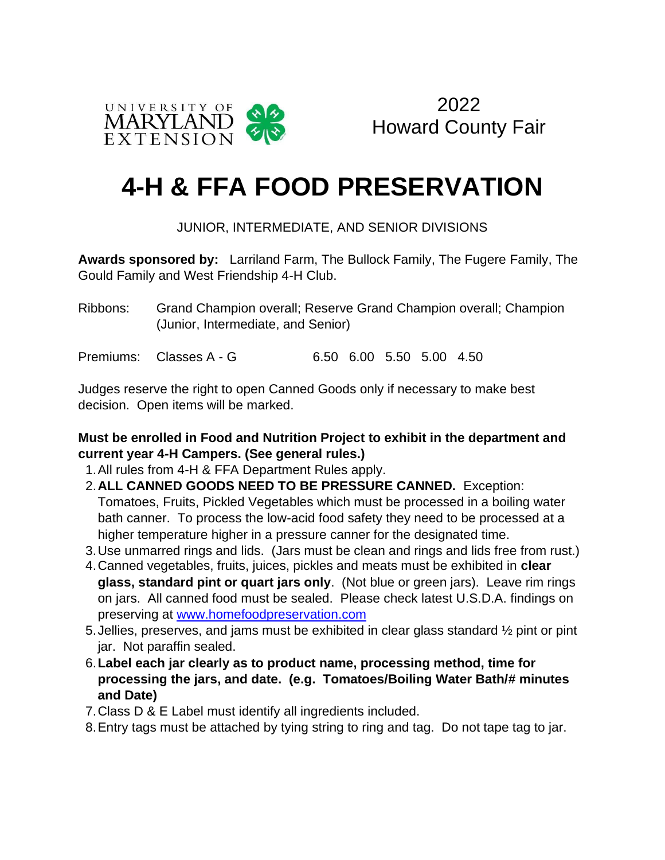

2022 Howard County Fair

# **4-H & FFA FOOD PRESERVATION**

#### JUNIOR, INTERMEDIATE, AND SENIOR DIVISIONS

**Awards sponsored by:** Larriland Farm, The Bullock Family, The Fugere Family, The Gould Family and West Friendship 4-H Club.

Ribbons: Grand Champion overall; Reserve Grand Champion overall; Champion (Junior, Intermediate, and Senior)

Premiums: Classes A - G 6.50 6.00 5.50 5.00 4.50

Judges reserve the right to open Canned Goods only if necessary to make best decision. Open items will be marked.

#### **Must be enrolled in Food and Nutrition Project to exhibit in the department and current year 4-H Campers. (See general rules.)**

- 1.All rules from 4-H & FFA Department Rules apply.
- 2.**ALL CANNED GOODS NEED TO BE PRESSURE CANNED.** Exception: Tomatoes, Fruits, Pickled Vegetables which must be processed in a boiling water bath canner. To process the low-acid food safety they need to be processed at a higher temperature higher in a pressure canner for the designated time.
- 3.Use unmarred rings and lids. (Jars must be clean and rings and lids free from rust.)
- 4.Canned vegetables, fruits, juices, pickles and meats must be exhibited in **clear glass, standard pint or quart jars only**. (Not blue or green jars). Leave rim rings on jars. All canned food must be sealed. Please check latest U.S.D.A. findings on preserving at [www.homefoodpreservation.com](http://www.homefoodpreservation.co/)
- 5.Jellies, preserves, and jams must be exhibited in clear glass standard ½ pint or pint jar. Not paraffin sealed.
- 6.**Label each jar clearly as to product name, processing method, time for processing the jars, and date. (e.g. Tomatoes/Boiling Water Bath/# minutes and Date)**
- 7.Class D & E Label must identify all ingredients included.
- 8.Entry tags must be attached by tying string to ring and tag. Do not tape tag to jar.